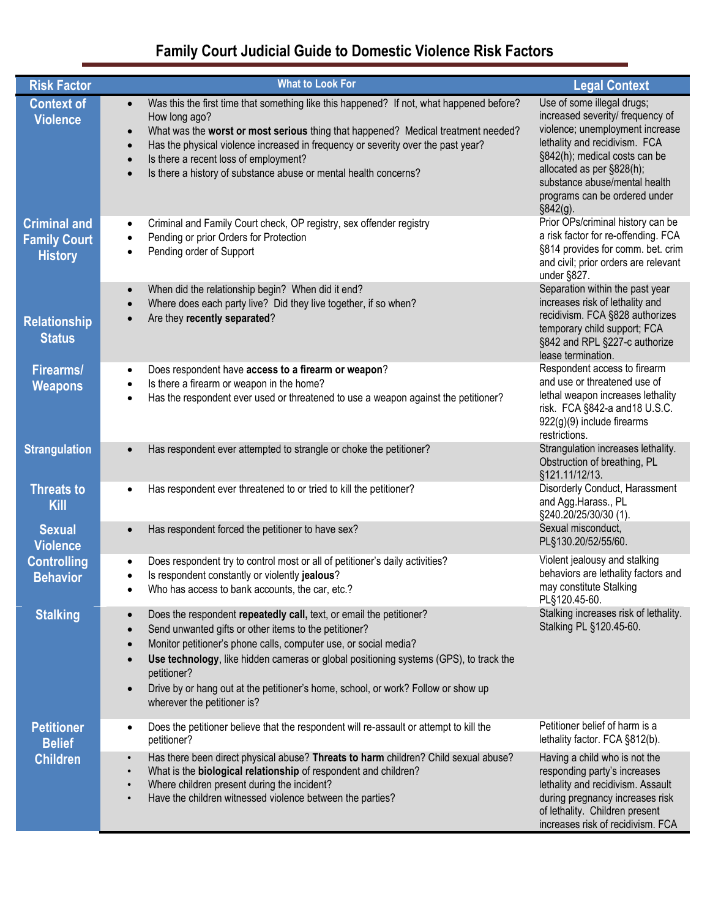# **Family Court Judicial Guide to Domestic Violence Risk Factors**

| <b>Risk Factor</b>                                                        | <b>What to Look For</b>                                                                                                                                                                                                                                                                                                                                                                                                                                | <b>Legal Context</b>                                                                                                                                                                                                                                                             |
|---------------------------------------------------------------------------|--------------------------------------------------------------------------------------------------------------------------------------------------------------------------------------------------------------------------------------------------------------------------------------------------------------------------------------------------------------------------------------------------------------------------------------------------------|----------------------------------------------------------------------------------------------------------------------------------------------------------------------------------------------------------------------------------------------------------------------------------|
| <b>Context of</b><br><b>Violence</b>                                      | Was this the first time that something like this happened? If not, what happened before?<br>$\bullet$<br>How long ago?<br>What was the worst or most serious thing that happened? Medical treatment needed?<br>$\bullet$<br>Has the physical violence increased in frequency or severity over the past year?<br>$\bullet$<br>Is there a recent loss of employment?<br>$\bullet$<br>Is there a history of substance abuse or mental health concerns?    | Use of some illegal drugs;<br>increased severity/ frequency of<br>violence; unemployment increase<br>lethality and recidivism. FCA<br>§842(h); medical costs can be<br>allocated as per §828(h);<br>substance abuse/mental health<br>programs can be ordered under<br>§842(g).   |
| <b>Criminal and</b><br><b>Family Court</b><br><b>History</b>              | Criminal and Family Court check, OP registry, sex offender registry<br>$\bullet$<br>Pending or prior Orders for Protection<br>Pending order of Support<br>$\bullet$                                                                                                                                                                                                                                                                                    | Prior OPs/criminal history can be<br>a risk factor for re-offending. FCA<br>§814 provides for comm. bet. crim<br>and civil; prior orders are relevant<br>under §827.                                                                                                             |
| <b>Relationship</b><br><b>Status</b>                                      | When did the relationship begin? When did it end?<br>Where does each party live? Did they live together, if so when?<br>$\bullet$<br>Are they recently separated?                                                                                                                                                                                                                                                                                      | Separation within the past year<br>increases risk of lethality and<br>recidivism. FCA §828 authorizes<br>temporary child support; FCA<br>§842 and RPL §227-c authorize<br>lease termination.                                                                                     |
| <b>Firearms/</b><br><b>Weapons</b>                                        | Does respondent have access to a firearm or weapon?<br>$\bullet$<br>Is there a firearm or weapon in the home?<br>$\bullet$<br>Has the respondent ever used or threatened to use a weapon against the petitioner?                                                                                                                                                                                                                                       | Respondent access to firearm<br>and use or threatened use of<br>lethal weapon increases lethality<br>risk. FCA §842-a and 18 U.S.C.<br>922(g)(9) include firearms<br>restrictions.                                                                                               |
| <b>Strangulation</b><br><b>Threats to</b><br>Kill                         | Has respondent ever attempted to strangle or choke the petitioner?<br>Has respondent ever threatened to or tried to kill the petitioner?<br>$\bullet$                                                                                                                                                                                                                                                                                                  | Strangulation increases lethality.<br>Obstruction of breathing, PL<br>§121.11/12/13.<br>Disorderly Conduct, Harassment<br>and Agg.Harass., PL                                                                                                                                    |
| <b>Sexual</b><br><b>Violence</b><br><b>Controlling</b><br><b>Behavior</b> | Has respondent forced the petitioner to have sex?<br>Does respondent try to control most or all of petitioner's daily activities?<br>Is respondent constantly or violently jealous?<br>Who has access to bank accounts, the car, etc.?                                                                                                                                                                                                                 | §240.20/25/30/30 (1).<br>Sexual misconduct,<br>PL§130.20/52/55/60.<br>Violent jealousy and stalking<br>behaviors are lethality factors and<br>may constitute Stalking                                                                                                            |
| <b>Stalking</b>                                                           | Does the respondent repeatedly call, text, or email the petitioner?<br>Send unwanted gifts or other items to the petitioner?<br>$\bullet$<br>Monitor petitioner's phone calls, computer use, or social media?<br>$\bullet$<br>Use technology, like hidden cameras or global positioning systems (GPS), to track the<br>petitioner?<br>Drive by or hang out at the petitioner's home, school, or work? Follow or show up<br>wherever the petitioner is? | PL§120.45-60.<br>Stalking increases risk of lethality.<br>Stalking PL §120.45-60.                                                                                                                                                                                                |
| <b>Petitioner</b><br><b>Belief</b><br><b>Children</b>                     | Does the petitioner believe that the respondent will re-assault or attempt to kill the<br>$\bullet$<br>petitioner?<br>Has there been direct physical abuse? Threats to harm children? Child sexual abuse?<br>$\bullet$<br>What is the <b>biological relationship</b> of respondent and children?<br>$\bullet$<br>Where children present during the incident?<br>$\bullet$<br>Have the children witnessed violence between the parties?<br>$\bullet$    | Petitioner belief of harm is a<br>lethality factor. FCA §812(b).<br>Having a child who is not the<br>responding party's increases<br>lethality and recidivism. Assault<br>during pregnancy increases risk<br>of lethality. Children present<br>increases risk of recidivism. FCA |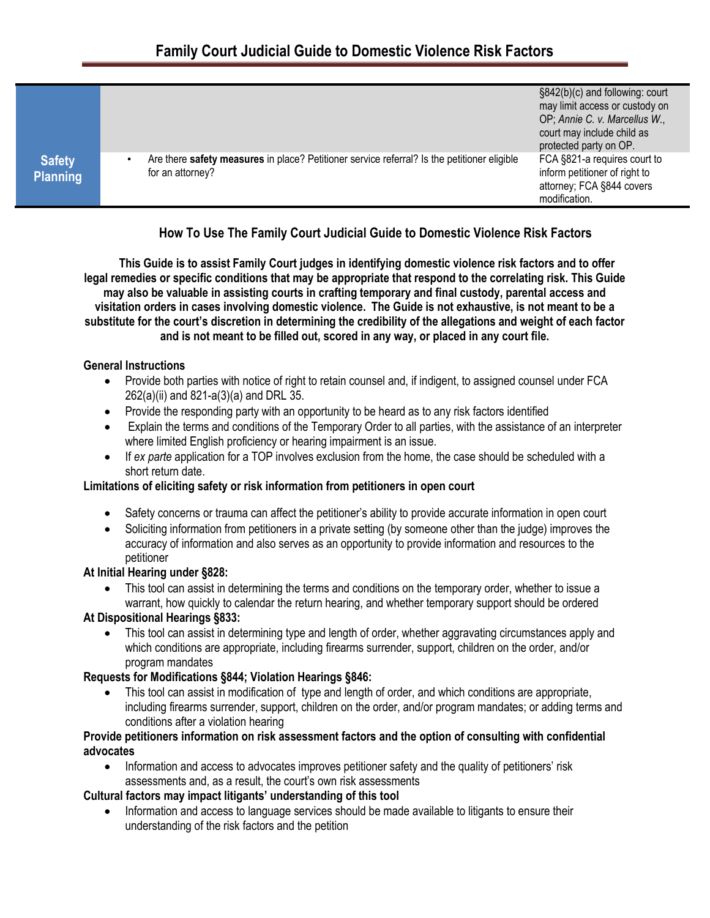|                 |                                                                                             | §842(b)(c) and following: court |
|-----------------|---------------------------------------------------------------------------------------------|---------------------------------|
|                 |                                                                                             | may limit access or custody on  |
|                 |                                                                                             | OP; Annie C. v. Marcellus W.,   |
|                 |                                                                                             | court may include child as      |
|                 |                                                                                             | protected party on OP.          |
| <b>Safety</b>   | Are there safety measures in place? Petitioner service referral? Is the petitioner eligible | FCA §821-a requires court to    |
| <b>Planning</b> | for an attorney?                                                                            | inform petitioner of right to   |
|                 |                                                                                             | attorney; FCA §844 covers       |
|                 |                                                                                             | modification.                   |
|                 |                                                                                             |                                 |

# **How To Use The Family Court Judicial Guide to Domestic Violence Risk Factors**

**This This Guide is to assist Family Court judges in identifying domestic violence risk factors and to offer legal remedies or specific conditions that may be appropriate that respond to the correlating risk. This Guide may also be valuable in assisting courts in crafting temporary and final custody, parental access and visitation orders in cases involving domestic violence. The Guide is not exhaustive, is not meant to be a substitute for the court's discretion in determining the credibility of the allegations and weight of each factor and is not meant to be filled out, scored in any way, or placed in any court file.**

#### **General Instructions**

- Provide both parties with notice of right to retain counsel and, if indigent, to assigned counsel under FCA 262(a)(ii) and 821-a(3)(a) and DRL 35.
- Provide the responding party with an opportunity to be heard as to any risk factors identified
- Explain the terms and conditions of the Temporary Order to all parties, with the assistance of an interpreter where limited English proficiency or hearing impairment is an issue.
- If *ex parte* application for a TOP involves exclusion from the home, the case should be scheduled with a short return date.

# **Limitations of eliciting safety or risk information from petitioners in open court**

- Safety concerns or trauma can affect the petitioner's ability to provide accurate information in open court
- Soliciting information from petitioners in a private setting (by someone other than the judge) improves the accuracy of information and also serves as an opportunity to provide information and resources to the petitioner

# **At Initial Hearing under §828:**

 This tool can assist in determining the terms and conditions on the temporary order, whether to issue a warrant, how quickly to calendar the return hearing, and whether temporary support should be ordered

# **At Dispositional Hearings §833:**

• This tool can assist in determining type and length of order, whether aggravating circumstances apply and which conditions are appropriate, including firearms surrender, support, children on the order, and/or program mandates

# **Requests for Modifications §844; Violation Hearings §846:**

 This tool can assist in modification of type and length of order, and which conditions are appropriate, including firearms surrender, support, children on the order, and/or program mandates; or adding terms and conditions after a violation hearing

#### **Provide petitioners information on risk assessment factors and the option of consulting with confidential advocates**

• Information and access to advocates improves petitioner safety and the quality of petitioners' risk assessments and, as a result, the court's own risk assessments

# **Cultural factors may impact litigants' understanding of this tool**

• Information and access to language services should be made available to litigants to ensure their understanding of the risk factors and the petition